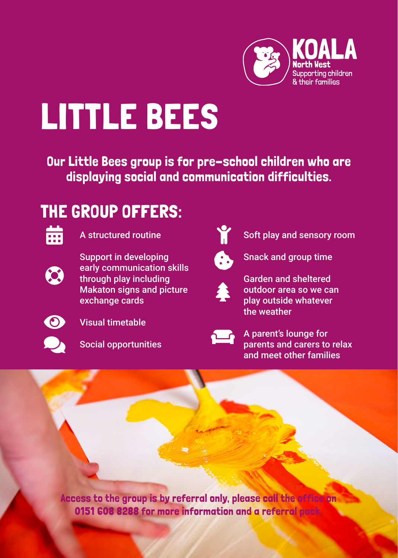

## LITTLE BEES

Our Little Bees group is for pre-school children who are displaying social and communication difficulties.

## THE GROUP OFFERS:



**A** structured routine



Support in developing early communication skills through play including Makaton signs and picture exchange cards



Visual timetable



Social opportunities



Soft play and sensory room



Snack and group time



Garden and sheltered outdoor area so we can play outside whatever the weather



A parent's lounge for parents and carers to relax and meet other families

Access to the group is by referral only, please call the office on 0151 608 8288 for more information and a referral pack.